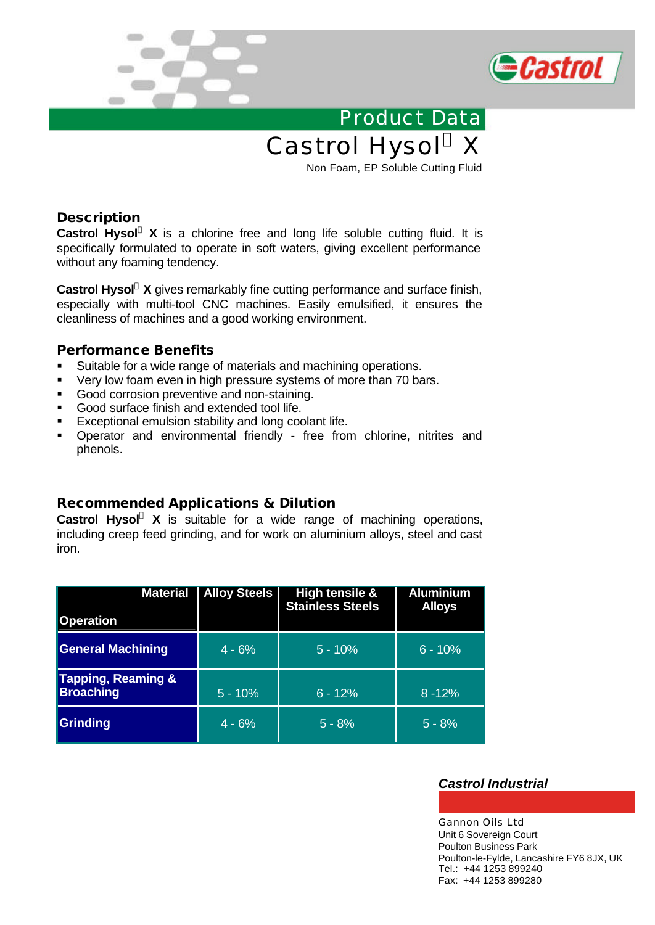



Product Data Castrol Hysol® X

Non Foam, EP Soluble Cutting Fluid

# **Description**

**Castrol Hysol<sup>â</sup> X** is a chlorine free [and long life soluble cutting fluid. It is](http://www.gannonoils.co.uk/Industrial/Metalworking_Fluids/Castrol_Metalworking/Castrol_Hysol_X.html) specifically formulated to operate in soft waters, giving excellent performance without any foaming tendency.

**Castrol Hysol<sup>â</sup> X** gives remarkably fine cutting performance and surface finish, especially with multi-tool CNC machines. Easily emulsified, it ensures the cleanliness of machines and a good working environment.

### **Performance Benefits**

- **Suitable for a wide range of materials and machining operations.**
- ß Very low foam even in high pressure systems of more than 70 bars.
- **Good corrosion preventive and non-staining.**
- **Good surface finish and extended tool life.**
- **Exceptional emulsion stability and long coolant life.**
- ß Operator and environmental friendly free from chlorine, nitrites and phenols.

# **Recommended Applications & Dilution**

**Castrol Hysol<sup>â</sup> X** is suitable for a wide range of machining operations, including creep feed grinding, and for work on aluminium alloys, steel and cast iron.

| <b>Material</b>                                   | <b>Alloy Steels</b> | High tensile &<br><b>Stainless Steels</b> | <b>Aluminium</b><br><b>Alloys</b> |
|---------------------------------------------------|---------------------|-------------------------------------------|-----------------------------------|
| <b>Operation</b>                                  |                     |                                           |                                   |
| <b>General Machining</b>                          | $4 - 6%$            | $5 - 10%$                                 | $6 - 10%$                         |
| <b>Tapping, Reaming &amp;</b><br><b>Broaching</b> | $5 - 10%$           | $6 - 12%$                                 | $8 - 12%$                         |
| <b>Grinding</b>                                   | $4 - 6%$            | $5 - 8%$                                  | $5 - 8%$                          |

### *Castrol Industrial*

Gannon Oils Ltd Unit 6 Sovereign Court Poulton Business Park Poulton-le-Fylde, Lancashire FY6 8JX, UK Tel.: +44 1253 899240 Fax: +44 1253 899280